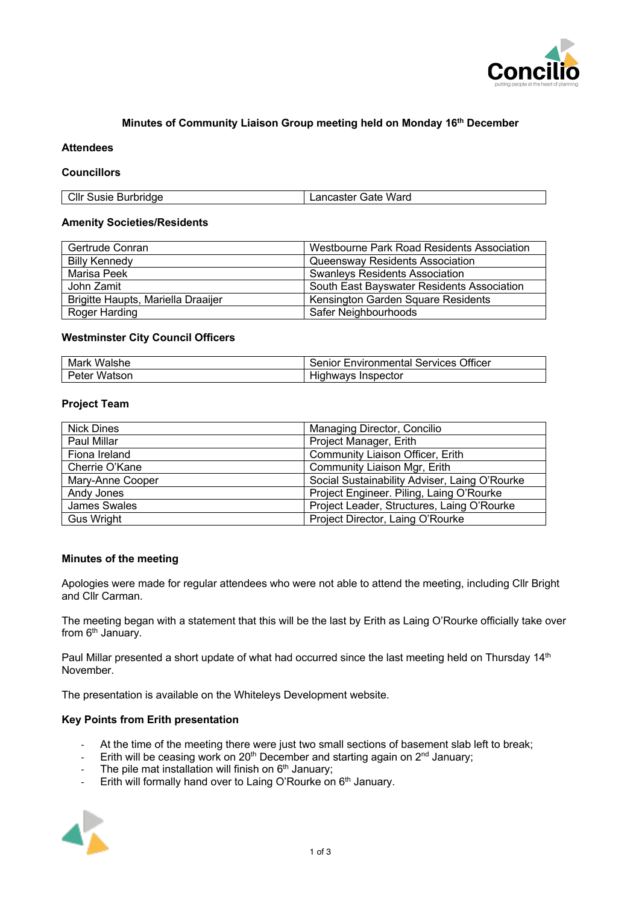

# **Minutes of Community Liaison Group meeting held on Monday 16th December**

#### **Attendees**

## **Councillors**

| Cllr Susie Burbridge | Lancaster Gate Ward |
|----------------------|---------------------|
|                      |                     |

#### **Amenity Societies/Residents**

| Gertrude Conran                    | Westbourne Park Road Residents Association |
|------------------------------------|--------------------------------------------|
| Billy Kennedy                      | Queensway Residents Association            |
| Marisa Peek                        | <b>Swanleys Residents Association</b>      |
| John Zamit                         | South East Bayswater Residents Association |
| Brigitte Haupts, Mariella Draaijer | Kensington Garden Square Residents         |
| Roger Harding                      | Safer Neighbourhoods                       |

## **Westminster City Council Officers**

| Mark Walshe  | <b>Senior Environmental Services Officer</b> |
|--------------|----------------------------------------------|
| Peter Watson | Highways Inspector                           |

## **Project Team**

| <b>Nick Dines</b> | Managing Director, Concilio                   |
|-------------------|-----------------------------------------------|
| Paul Millar       | Project Manager, Erith                        |
| Fiona Ireland     | Community Liaison Officer, Erith              |
| Cherrie O'Kane    | Community Liaison Mgr, Erith                  |
| Mary-Anne Cooper  | Social Sustainability Adviser, Laing O'Rourke |
| Andy Jones        | Project Engineer. Piling, Laing O'Rourke      |
| James Swales      | Project Leader, Structures, Laing O'Rourke    |
| <b>Gus Wright</b> | Project Director, Laing O'Rourke              |

## **Minutes of the meeting**

Apologies were made for regular attendees who were not able to attend the meeting, including Cllr Bright and Cllr Carman.

The meeting began with a statement that this will be the last by Erith as Laing O'Rourke officially take over from  $6<sup>th</sup>$  January.

Paul Millar presented a short update of what had occurred since the last meeting held on Thursday 14<sup>th</sup> November.

The presentation is available on the Whiteleys Development website.

# **Key Points from Erith presentation**

- At the time of the meeting there were just two small sections of basement slab left to break;
- Erith will be ceasing work on  $20<sup>th</sup>$  December and starting again on  $2<sup>nd</sup>$  January;
- The pile mat installation will finish on  $6<sup>th</sup>$  January;
- Erith will formally hand over to Laing O'Rourke on 6<sup>th</sup> January.

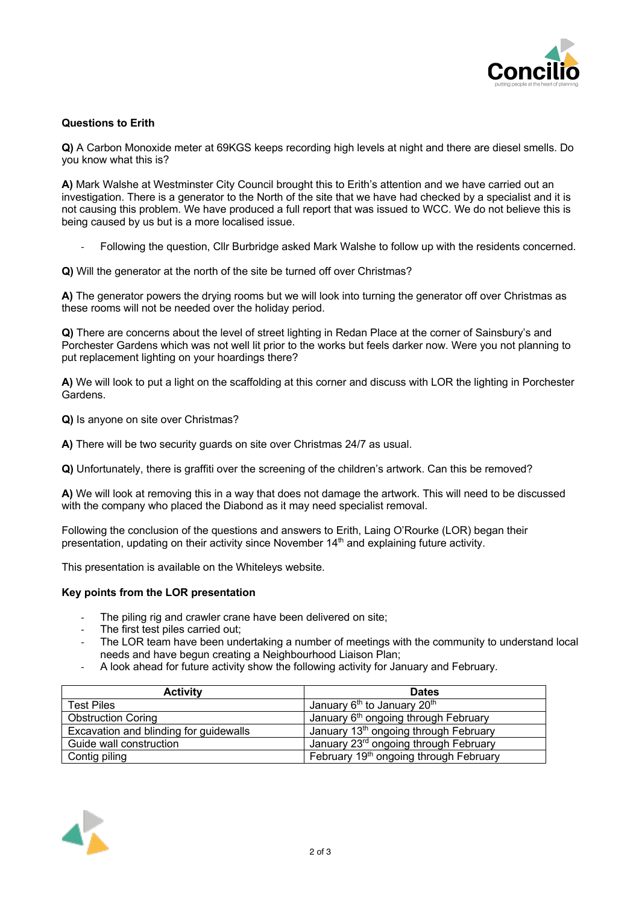

# **Questions to Erith**

**Q)** A Carbon Monoxide meter at 69KGS keeps recording high levels at night and there are diesel smells. Do you know what this is?

**A)** Mark Walshe at Westminster City Council brought this to Erith's attention and we have carried out an investigation. There is a generator to the North of the site that we have had checked by a specialist and it is not causing this problem. We have produced a full report that was issued to WCC. We do not believe this is being caused by us but is a more localised issue.

- Following the question, Cllr Burbridge asked Mark Walshe to follow up with the residents concerned.

**Q)** Will the generator at the north of the site be turned off over Christmas?

**A)** The generator powers the drying rooms but we will look into turning the generator off over Christmas as these rooms will not be needed over the holiday period.

**Q)** There are concerns about the level of street lighting in Redan Place at the corner of Sainsbury's and Porchester Gardens which was not well lit prior to the works but feels darker now. Were you not planning to put replacement lighting on your hoardings there?

**A)** We will look to put a light on the scaffolding at this corner and discuss with LOR the lighting in Porchester Gardens.

**Q)** Is anyone on site over Christmas?

**A)** There will be two security guards on site over Christmas 24/7 as usual.

**Q)** Unfortunately, there is graffiti over the screening of the children's artwork. Can this be removed?

**A)** We will look at removing this in a way that does not damage the artwork. This will need to be discussed with the company who placed the Diabond as it may need specialist removal.

Following the conclusion of the questions and answers to Erith, Laing O'Rourke (LOR) began their presentation, updating on their activity since November 14th and explaining future activity.

This presentation is available on the Whiteleys website.

#### **Key points from the LOR presentation**

- The piling rig and crawler crane have been delivered on site;
- The first test piles carried out:
- The LOR team have been undertaking a number of meetings with the community to understand local needs and have begun creating a Neighbourhood Liaison Plan;
- A look ahead for future activity show the following activity for January and February.

| <b>Activity</b>                        | <b>Dates</b>                                        |
|----------------------------------------|-----------------------------------------------------|
| <b>Test Piles</b>                      | January 6 <sup>th</sup> to January 20 <sup>th</sup> |
| <b>Obstruction Coring</b>              | January 6 <sup>th</sup> ongoing through February    |
| Excavation and blinding for guidewalls | January 13 <sup>th</sup> ongoing through February   |
| Guide wall construction                | January 23rd ongoing through February               |
| Contig piling                          | February 19th ongoing through February              |